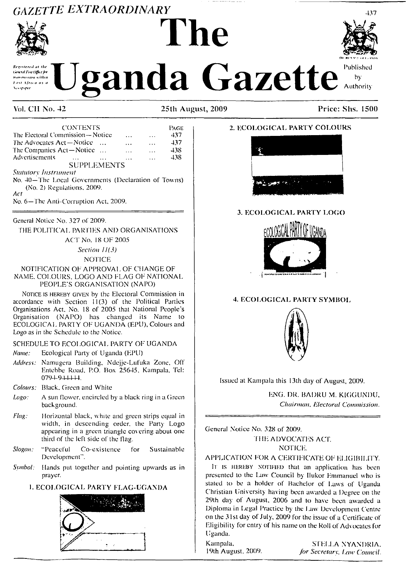# *GAZETTE EXTRAORDINARY* **The**



# **May be a strict of the Standal Gazette** by  $\sum_{\text{Authority}}$



437

| <b>CONTENTS</b>                                     |                    |  |           |           | Page |
|-----------------------------------------------------|--------------------|--|-----------|-----------|------|
| The Electoral Commission-Notice<br>$\cdots$<br>.    |                    |  |           |           | 437  |
| The Advocates Act—Notice                            |                    |  | $\ddotsc$ | $\cdots$  | 437  |
| The Companies Act-Notice<br>$\ddotsc$               |                    |  |           |           | 438  |
| Advertisements                                      | $\cdots$           |  |           | $\ddotsc$ | 438  |
|                                                     | <b>SUPPLEMENTS</b> |  |           |           |      |
| <b>Statutory Instrument</b>                         |                    |  |           |           |      |
| No. 40-The Local Governments (Declaration of Towns) |                    |  |           |           |      |
| (No. 2) Regulations, 2009.                          |                    |  |           |           |      |

*Act*

No. 6—The Ami-Corruption Act. 2009.

#### General Notice No. 327 of 2009.

THE POLITICAL PARTIES AND ORGANISATIONS

ACT No. 18 OF 2005

*Section 11(3)* NOTICE

#### NOTIFICATION OF APPROVAL OF CHANGE OF NAME. COLOURS, LOGO AND FLAG OF NATIONAL PEOPLE'S ORGANISATION (NAPO)

NOTICE IS HEREBY GIVEN by the Electoral Commission in accordance with Section 11(3) of the Political Parties Organisations Act. No. 18 of 2005 that National People's Organisation (NAPO) has changed its Name to ECOLOGICAL PARTY OF UGANDA (EPU), Colours and Logo as in the Schedule to the Notice.

#### SCHEDULE TO ECOLOGICAL PARTY OF UGANDA

*Name:* Ecological Party of Uganda (EPU)

- *Address:* Namugera Building. Ndejje-Lufuka Zone, Off Entebbe Road, P.O. Box 25645, Kampala, Tel: 0794-944444.
- *Colours:* Black. Green and White
- *Logo:* A sun flower, encircled by a black ring in a Green background.
- *Flag:* Horizontal black, white and green strips equal in width, in descending order, the Party Logo appearing in a green triangle covering about one third of the left side of the Hag.
- *Slogan:* "Peaceful Co-existence for Sustainable Development".
- *Symbol:* Hands put together and pointing upwards as in prayer.

#### **1. ECOLOGICAL PARTY FLAG-UGANDA**







# 3. ECOLOGICAL PARTY LOGO



#### **4. ECOLOGICAL PARTY SYMBOL**



Issued at Kampala this 13th day of August, 2009,

ENG. DR. BADRU M. KIGGUNDU, *Chairman, Electoral Commission.*

General Notice No. 328 of 2009.

THE ADVOCATES ACT. NOTICE.

# APPLICATION FOR A CERTIFICATE OF ELIGIBILITY.

It is HEREBY NOTIFIED that an application has been presented to the Law Council by Ilukor Emmanuel who is stated to be a holder of Bachelor of Laws of Uganda Christian University having been awarded a Degree on lhe 29lh day oi August, 2006 and to have been awarded a Diploma in Ixgal Practice by the Law Development Centre on the 31 st day of July. 2009 for the issue of a Certificate of Eligibility for entry of his name on the Roll of Advocates for Uganda.

Kampala, STELLA NYANDRIA,<br>19th August, 2009. *for Secretary, Law Council.* 19th August. 2009. *for Secretary. I.aw Council.*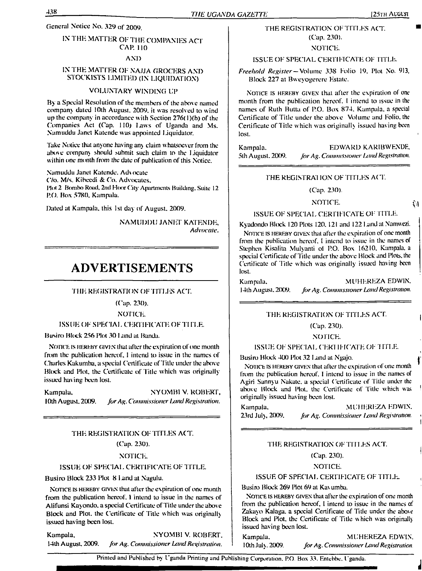# **IN THE MATTER OF THE COMPANIES ACT CAP. 110**

#### **AND**

#### **IN THE MATTER OF NAJJA GROCERS AND STOCKISTS LIMITED (IN LIQUIDATION)**

#### **VOLUNTARY WINDING UP**

**By a Special Resolution of the members of the above named company dated 10th August. 2009. it was resolved io wind up the company in accordance with Section 276( <sup>1</sup> )(b) of the Companies Act (Cap. 110) I-avvs of Uganda and Ms. Namuddu Janet Katende was appointed Liquidator.**

**'lake Notice that anyone having any claim whatsoever from the above company should >ubmil such claim to the Liquidator wiihin one month from the dale of publication of this Noiice.**

**Namuddu Janet Katende, Advocate C/o. MZs. Kibeedi & Co. Advocates. Plot 2 Bombo Raid, 2nd Haw City Apartments Building. Suite 12 P.O. Box 5780, Kampala.**

**Dated at Kampala, this 1st day of August. 2009.**

**NAMUDDU JANET KATENDE,** *Advocate.*

# **ADVERTISEMENTS**

**THE REGISTRATION OF TITLES ACL**

#### **(Cap. 230).**

**NOTICE.**

#### **ISSUE OF SPECIAL CERTIFICATE OFI <sup>I</sup> TLE.**

**Busiro Block 256 Ploi 30 <sup>1</sup> \*ind at Banda.**

Notice is hereby given **that after the expiration of one month from the publication hereof, <sup>I</sup> intend to issue in the names of Charles Kakumba, a special Certificate of'Hile under the above Block and Plot, the Certificate of Title which was originally issued having been lost.**

**Kampala, NYOMB1 V. ROBERT, <sup>I</sup> Olh Augusl. 2009.** *forAg. Commissioner LandRegistration.*

#### **'THE REGISTRATION OF TI TLES ACT. (Cap. 230).**

#### notice:.

#### **ISSUE OF SPEC IAL CERTIFICATE OF TITLE.**

**Busiro Block 233 Plot 8 <sup>I</sup> .and al Nagulu.**

Notice is hereby given **that after the expiration of one month from the publication hereof. <sup>1</sup> intend to issue in the names of Alifunsi Kayondo, a special Certificate of'Hile under the above Block and Plot, the Certificate of Title <sup>w</sup> hich was originally issued having been lost.**

**Kampala, NYOMB1 V. ROBERT!'. 14lh Augusl, 2009.** *for Ag. Commissioner Land Registration.*

#### **THE REGISTRATION OF TITLES ACT. (C'ap. 230).**

#### **NOTICE.**

#### **ISSUE OF SPECIAL CERTIFICATE OF TI TLE.**

*Freehold Register***—Volume 338 Folio 19. Plot No. 913, Block 227 at Bweyogercre Estate.**

Notice is hereby given **that after the expiration of one month from the publication hereof. <sup>I</sup> intend to issue in the names of Ruth Bulla of P.O. Box 874. Kampala, a special Certificate of Title under the above Volume and Folio, the Certificate of Title which was originally issued having been lost.**

**Kampala. EDWARD KARIBWENDE.** 5th **August. 2009.** *for Ag. Commissioner Land Registration.* 

#### **THE REGISTRA1 ION OF TITLES ACT'.**

# **(Cap. 230).**

#### **NOTICE.**

#### **ISSUE OF SPECIAL CERTIFICATE OF TITLE.**

**Kyadondo Block 120 Plots 120. 121 and 122 I-and al Namwczi.**

Notice is hereby given **lhai after the expiration of one momh from the publication hereof. <sup>I</sup> intend lo issue in lhe names of Stephen Kisalita Mulyami ol P.O. Box 16210, Kampala, a special Certificate ofTitle under the above Block and Plots, lhe Certificate of 'Hile which was originally issued having been losi.**

**Kampala, MUHEREZA EDWIN. <sup>1</sup>4lh Augusl. 2(X)9.** *forAg. Commissioner LandRegistration.*

#### **THE REGISTRATION OF TITLES ACT.**

#### **(Cap. 230).**

#### **NOTICE.**

#### **ISSUE OF SPECIAL CER'11FICATE OF TITLE.**

**Busiro Block 400 Plot 32 <sup>I</sup> -and at Ngajo.**

Notice is hereby given **that after lhe expiration of one month from the publication hereof. <sup>I</sup> intend to issue in the names of Agiri Sannyu Nakatc. a special Certificate of Tide under lhe above Block and Plot lhe Certificate of 'Title which was originally issued having been lost.**

**Kampala. MUHERIZA EDWIN. 23rd July, 2(X)9.** *for Ag. Commissioner Ijttnd Registration.*

#### **THE REGISTRATION OF TI TLES ACT.**

#### **(Cap. 230).**

#### **NOTICE.**

#### **ISSUE OF SPECIAL CERTIFICATE OF TITLE.**

#### **Busiro Block 269 Plot 69 at Kav umba.**

Notice is hereby given **that after the expiration of one month from the publication hereof, l intend to issue in lhe names of Zakayo Kalaga. a special Certificate of Title under the above Block and Plot, the Certificate of Title which was originally issued having been lost.**

**Kampala. MUHEREZA EDWIN. <sup>1</sup> Oth July. 2009.** *forAg. Commissioner LandRegistration*

Printed and Published by I ganda Printing and Publishing Corporation. P.O. Box 33. Entebbe, Uganda.

Ń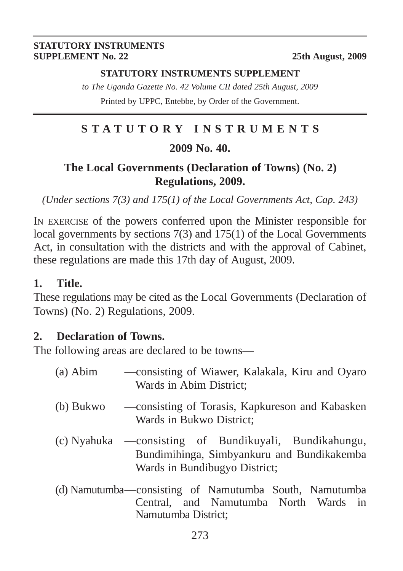#### **STATUTORY INSTRUMENTS SUPPLEMENT No. 22** 25th August, 2009

#### **STATUTORY INSTRUMENTS SUPPLEMENT**

*to The Uganda Gazette No. 42 Volume CII dated 25th August, 2009* Printed by UPPC, Entebbe, by Order of the Government.

# **STATUTORY INSTRUMENTS**

### **2009 No. 40.**

# **The Local Governments (Declaration of Towns) (No. 2) Regulations, 2009.**

*(Under sections 7(3) and 175(1) of the Local Governments Act, Cap. 243)*

IN EXERCISE of the powers conferred upon the Minister responsible for local governments by sections 7(3) and 175(1) of the Local Governments Act, in consultation with the districts and with the approval of Cabinet, these regulations are made this 17th day of August, 2009.

# **1. Title.**

These regulations may be cited as the Local Governments (Declaration of Towns) (No. 2) Regulations, 2009.

### **2. Declaration of Towns.**

The following areas are declared to be towns—

| (a) Abim  | —consisting of Wiawer, Kalakala, Kiru and Oyaro<br>Wards in Abim District;                                                            |
|-----------|---------------------------------------------------------------------------------------------------------------------------------------|
| (b) Bukwo | -consisting of Torasis, Kapkureson and Kabasken<br>Wards in Bukwo District;                                                           |
|           | (c) Nyahuka — consisting of Bundikuyali, Bundikahungu,<br>Bundimihinga, Simbyankuru and Bundikakemba<br>Wards in Bundibugyo District; |
|           | (d) Namutumba—consisting of Namutumba South, Namutumba<br>Central, and Namutumba North Wards in                                       |

Namutumba District;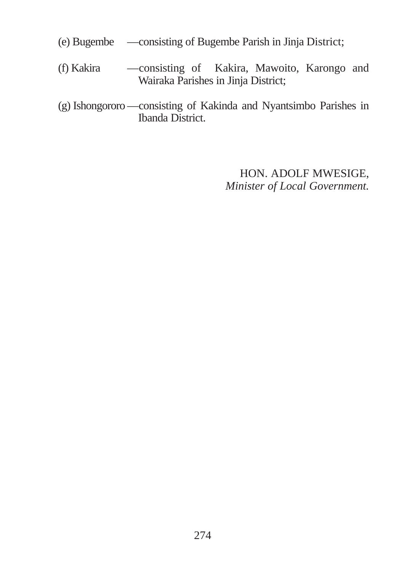- (e) Bugembe —consisting of Bugembe Parish in Jinja District;
- (f) Kakira —consisting of Kakira, Mawoito, Karongo and Wairaka Parishes in Jinja District;
- (g) Ishongororo —consisting of Kakinda and Nyantsimbo Parishes in Ibanda District.

HON. ADOLF MWESIGE, *Minister of Local Government.*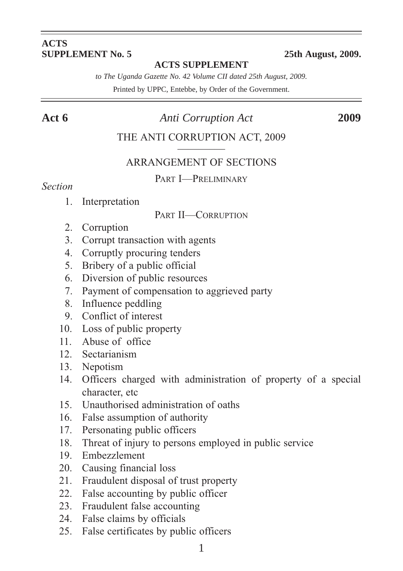#### **ACTS SUPPLEMENT No. 5 25th August, 2009.**

#### **ACTS SUPPLEMENT**

*to The Uganda Gazette No. 42 Volume CII dated 25th August, 2009.*

Printed by UPPC, Entebbe, by Order of the Government.

#### **Act 6** *Anti Corruption Act* **2009**

#### THE ANTI CORRUPTION ACT, 2009

#### ARRANGEMENT OF SECTIONS

#### PART I—PRELIMINARY

#### *Section*

1. Interpretation

#### PART II—CORRUPTION

- 2. Corruption
- 3. Corrupt transaction with agents
- 4. Corruptly procuring tenders
- 5. Bribery of a public official
- 6. Diversion of public resources
- 7. Payment of compensation to aggrieved party
- 8. Influence peddling
- 9. Conflict of interest
- 10. Loss of public property
- 11. Abuse of office
- 12. Sectarianism
- 13. Nepotism
- 14. Officers charged with administration of property of a special character, etc
- 15. Unauthorised administration of oaths
- 16. False assumption of authority
- 17. Personating public officers
- 18. Threat of injury to persons employed in public service
- 19. Embezzlement
- 20. Causing financial loss
- 21. Fraudulent disposal of trust property
- 22. False accounting by public officer
- 23. Fraudulent false accounting
- 24. False claims by officials
- 25. False certificates by public officers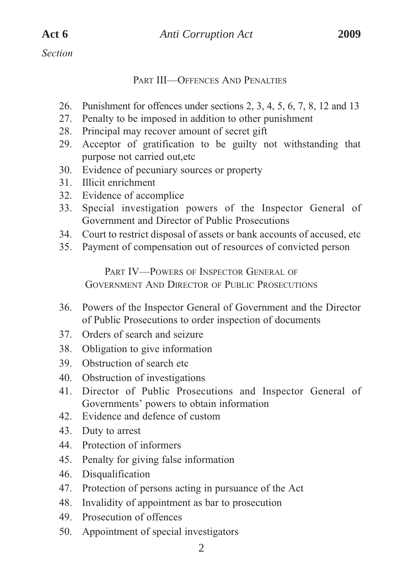*Section*

#### PART III—OFFENCES AND PENALTIES

- 26. Punishment for offences under sections 2, 3, 4, 5, 6, 7, 8, 12 and 13
- 27. Penalty to be imposed in addition to other punishment
- 28. Principal may recover amount of secret gift
- 29. Acceptor of gratification to be guilty not withstanding that purpose not carried out,etc
- 30. Evidence of pecuniary sources or property
- 31. Illicit enrichment
- 32. Evidence of accomplice
- 33. Special investigation powers of the Inspector General of Government and Director of Public Prosecutions
- 34. Court to restrict disposal of assets or bank accounts of accused, etc
- 35. Payment of compensation out of resources of convicted person

PART IV—POWERS OF INSPECTOR GENERAL OF GOVERNMENT AND DIRECTOR OF PUBLIC PROSECUTIONS

- 36. Powers of the Inspector General of Government and the Director of Public Prosecutions to order inspection of documents
- 37. Orders of search and seizure
- 38. Obligation to give information
- 39. Obstruction of search etc
- 40. Obstruction of investigations
- 41. Director of Public Prosecutions and Inspector General of Governments' powers to obtain information
- 42. Evidence and defence of custom
- 43. Duty to arrest
- 44. Protection of informers
- 45. Penalty for giving false information
- 46. Disqualification
- 47. Protection of persons acting in pursuance of the Act
- 48. Invalidity of appointment as bar to prosecution
- 49. Prosecution of offences
- 50. Appointment of special investigators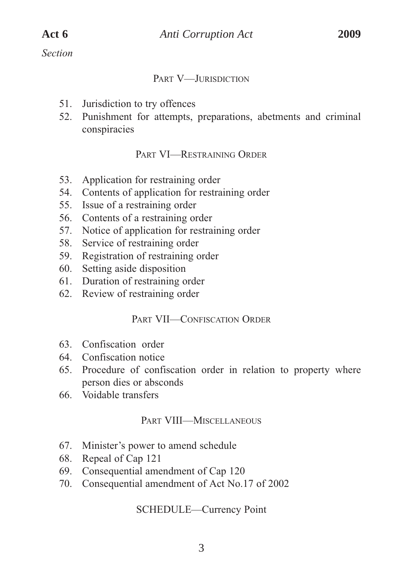*Section*

#### PART V—**JURISDICTION**

- 51. Jurisdiction to try offences
- 52. Punishment for attempts, preparations, abetments and criminal conspiracies

#### PART VI—RESTRAINING ORDER

- 53. Application for restraining order
- 54. Contents of application for restraining order
- 55. Issue of a restraining order
- 56. Contents of a restraining order
- 57. Notice of application for restraining order
- 58. Service of restraining order
- 59. Registration of restraining order
- 60. Setting aside disposition
- 61. Duration of restraining order
- 62. Review of restraining order

#### PART VII—CONFISCATION ORDER

- 63. Confiscation order
- 64. Confiscation notice
- 65. Procedure of confiscation order in relation to property where person dies or absconds
- 66. Voidable transfers

#### PART VIII—MISCELLANEOUS

- 67. Minister's power to amend schedule
- 68. Repeal of Cap 121
- 69. Consequential amendment of Cap 120
- 70. Consequential amendment of Act No.17 of 2002

#### SCHEDULE—Currency Point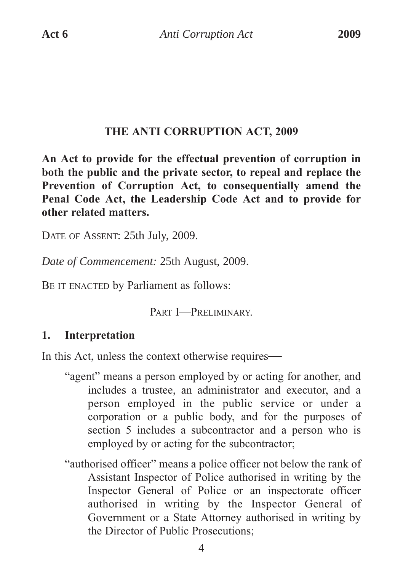#### **THE ANTI CORRUPTION ACT, 2009**

**An Act to provide for the effectual prevention of corruption in both the public and the private sector, to repeal and replace the Prevention of Corruption Act, to consequentially amend the Penal Code Act, the Leadership Code Act and to provide for other related matters.**

DATE OF ASSENT: 25th July, 2009.

*Date of Commencement:* 25th August, 2009.

BE IT ENACTED by Parliament as follows:

PART I—PRELIMINARY.

# **1. Interpretation**

In this Act, unless the context otherwise requires—

- "agent" means a person employed by or acting for another, and includes a trustee, an administrator and executor, and a person employed in the public service or under a corporation or a public body, and for the purposes of section 5 includes a subcontractor and a person who is employed by or acting for the subcontractor;
- "authorised officer" means a police officer not below the rank of Assistant Inspector of Police authorised in writing by the Inspector General of Police or an inspectorate officer authorised in writing by the Inspector General of Government or a State Attorney authorised in writing by the Director of Public Prosecutions;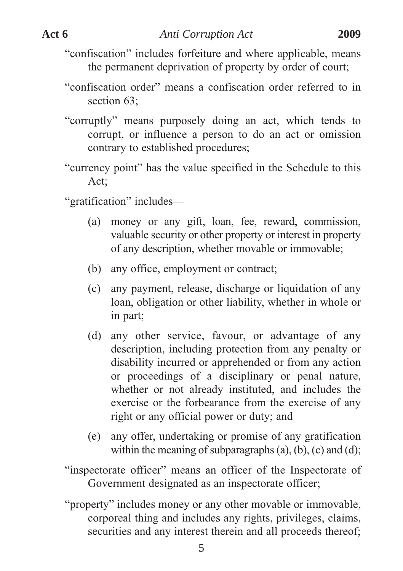"confiscation" includes forfeiture and where applicable, means the permanent deprivation of property by order of court;

- "confiscation order" means a confiscation order referred to in section 63:
- "corruptly" means purposely doing an act, which tends to corrupt, or influence a person to do an act or omission contrary to established procedures;
- "currency point" has the value specified in the Schedule to this Act;

"gratification" includes—

- (a) money or any gift, loan, fee, reward, commission, valuable security or other property or interest in property of any description, whether movable or immovable;
- (b) any office, employment or contract;
- (c) any payment, release, discharge or liquidation of any loan, obligation or other liability, whether in whole or in part;
- (d) any other service, favour, or advantage of any description, including protection from any penalty or disability incurred or apprehended or from any action or proceedings of a disciplinary or penal nature, whether or not already instituted, and includes the exercise or the forbearance from the exercise of any right or any official power or duty; and
- (e) any offer, undertaking or promise of any gratification within the meaning of subparagraphs  $(a)$ ,  $(b)$ ,  $(c)$  and  $(d)$ ;
- "inspectorate officer" means an officer of the Inspectorate of Government designated as an inspectorate officer;
- "property" includes money or any other movable or immovable, corporeal thing and includes any rights, privileges, claims, securities and any interest therein and all proceeds thereof;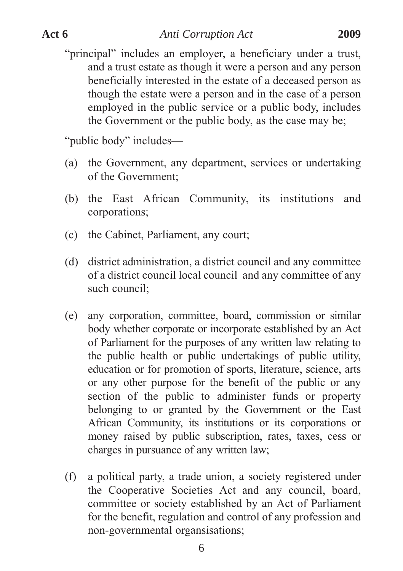"principal" includes an employer, a beneficiary under a trust, and a trust estate as though it were a person and any person beneficially interested in the estate of a deceased person as though the estate were a person and in the case of a person employed in the public service or a public body, includes the Government or the public body, as the case may be;

"public body" includes—

- (a) the Government, any department, services or undertaking of the Government;
- (b) the East African Community, its institutions and corporations;
- (c) the Cabinet, Parliament, any court;
- (d) district administration, a district council and any committee of a district council local council and any committee of any such council;
- (e) any corporation, committee, board, commission or similar body whether corporate or incorporate established by an Act of Parliament for the purposes of any written law relating to the public health or public undertakings of public utility, education or for promotion of sports, literature, science, arts or any other purpose for the benefit of the public or any section of the public to administer funds or property belonging to or granted by the Government or the East African Community, its institutions or its corporations or money raised by public subscription, rates, taxes, cess or charges in pursuance of any written law;
- (f) a political party, a trade union, a society registered under the Cooperative Societies Act and any council, board, committee or society established by an Act of Parliament for the benefit, regulation and control of any profession and non-governmental organsisations;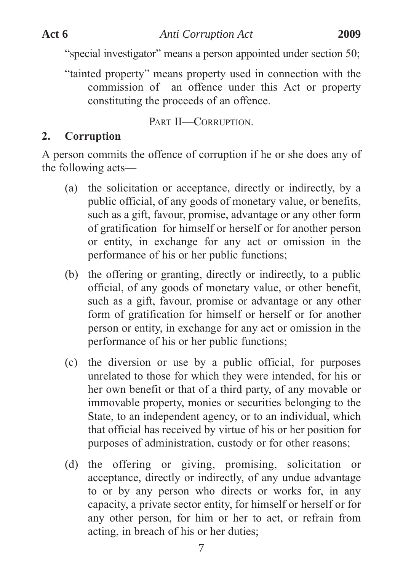"special investigator" means a person appointed under section 50;

"tainted property" means property used in connection with the commission of an offence under this Act or property constituting the proceeds of an offence.

PART II—CORRUPTION.

# **2. Corruption**

A person commits the offence of corruption if he or she does any of the following acts—

- (a) the solicitation or acceptance, directly or indirectly, by a public official, of any goods of monetary value, or benefits, such as a gift, favour, promise, advantage or any other form of gratification for himself or herself or for another person or entity, in exchange for any act or omission in the performance of his or her public functions;
- (b) the offering or granting, directly or indirectly, to a public official, of any goods of monetary value, or other benefit, such as a gift, favour, promise or advantage or any other form of gratification for himself or herself or for another person or entity, in exchange for any act or omission in the performance of his or her public functions;
- (c) the diversion or use by a public official, for purposes unrelated to those for which they were intended, for his or her own benefit or that of a third party, of any movable or immovable property, monies or securities belonging to the State, to an independent agency, or to an individual, which that official has received by virtue of his or her position for purposes of administration, custody or for other reasons;
- (d) the offering or giving, promising, solicitation or acceptance, directly or indirectly, of any undue advantage to or by any person who directs or works for, in any capacity, a private sector entity, for himself or herself or for any other person, for him or her to act, or refrain from acting, in breach of his or her duties;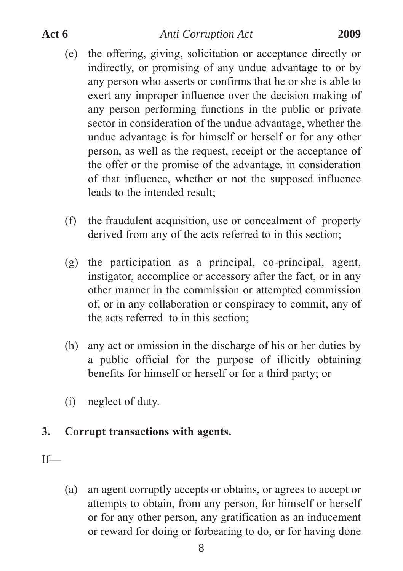- (e) the offering, giving, solicitation or acceptance directly or indirectly, or promising of any undue advantage to or by any person who asserts or confirms that he or she is able to exert any improper influence over the decision making of any person performing functions in the public or private sector in consideration of the undue advantage, whether the undue advantage is for himself or herself or for any other person, as well as the request, receipt or the acceptance of the offer or the promise of the advantage, in consideration of that influence, whether or not the supposed influence leads to the intended result;
- (f) the fraudulent acquisition, use or concealment of property derived from any of the acts referred to in this section;
- (g) the participation as a principal, co-principal, agent, instigator, accomplice or accessory after the fact, or in any other manner in the commission or attempted commission of, or in any collaboration or conspiracy to commit, any of the acts referred to in this section;
- (h) any act or omission in the discharge of his or her duties by a public official for the purpose of illicitly obtaining benefits for himself or herself or for a third party; or
- (i) neglect of duty.

#### **3. Corrupt transactions with agents.**

If—

(a) an agent corruptly accepts or obtains, or agrees to accept or attempts to obtain, from any person, for himself or herself or for any other person, any gratification as an inducement or reward for doing or forbearing to do, or for having done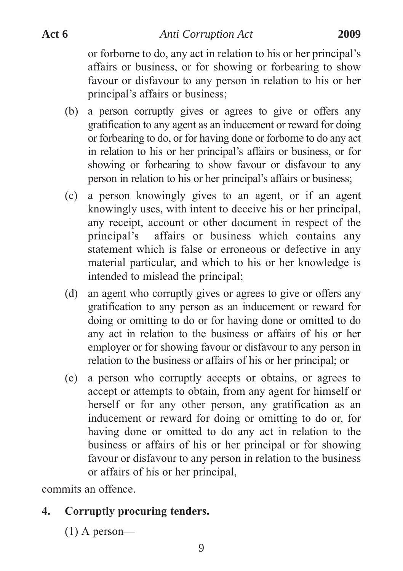or forborne to do, any act in relation to his or her principal's affairs or business, or for showing or forbearing to show favour or disfavour to any person in relation to his or her principal's affairs or business;

- (b) a person corruptly gives or agrees to give or offers any gratification to any agent as an inducement or reward for doing or forbearing to do, or for having done or forborne to do any act in relation to his or her principal's affairs or business, or for showing or forbearing to show favour or disfavour to any person in relation to his or her principal's affairs or business;
- (c) a person knowingly gives to an agent, or if an agent knowingly uses, with intent to deceive his or her principal, any receipt, account or other document in respect of the principal's affairs or business which contains any statement which is false or erroneous or defective in any material particular, and which to his or her knowledge is intended to mislead the principal;
- (d) an agent who corruptly gives or agrees to give or offers any gratification to any person as an inducement or reward for doing or omitting to do or for having done or omitted to do any act in relation to the business or affairs of his or her employer or for showing favour or disfavour to any person in relation to the business or affairs of his or her principal; or
- (e) a person who corruptly accepts or obtains, or agrees to accept or attempts to obtain, from any agent for himself or herself or for any other person, any gratification as an inducement or reward for doing or omitting to do or, for having done or omitted to do any act in relation to the business or affairs of his or her principal or for showing favour or disfavour to any person in relation to the business or affairs of his or her principal,

commits an offence.

# **4. Corruptly procuring tenders.**

(1) A person—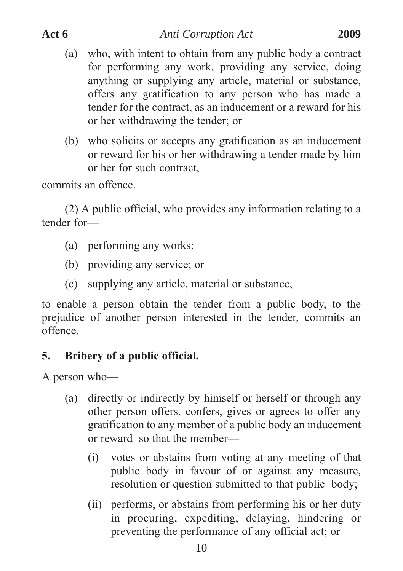- (a) who, with intent to obtain from any public body a contract for performing any work, providing any service, doing anything or supplying any article, material or substance, offers any gratification to any person who has made a tender for the contract, as an inducement or a reward for his or her withdrawing the tender; or
- (b) who solicits or accepts any gratification as an inducement or reward for his or her withdrawing a tender made by him or her for such contract,

commits an offence.

(2) A public official, who provides any information relating to a tender for—

- (a) performing any works;
- (b) providing any service; or
- (c) supplying any article, material or substance,

to enable a person obtain the tender from a public body, to the prejudice of another person interested in the tender, commits an offence.

# **5. Bribery of a public official.**

A person who—

- (a) directly or indirectly by himself or herself or through any other person offers, confers, gives or agrees to offer any gratification to any member of a public body an inducement or reward so that the member—
	- (i) votes or abstains from voting at any meeting of that public body in favour of or against any measure, resolution or question submitted to that public body;
	- (ii) performs, or abstains from performing his or her duty in procuring, expediting, delaying, hindering or preventing the performance of any official act; or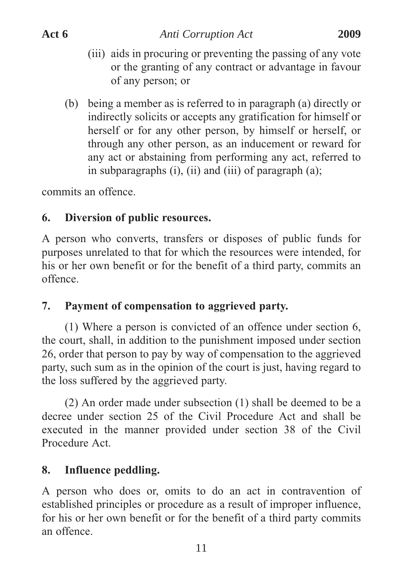- (iii) aids in procuring or preventing the passing of any vote or the granting of any contract or advantage in favour of any person; or
- (b) being a member as is referred to in paragraph (a) directly or indirectly solicits or accepts any gratification for himself or herself or for any other person, by himself or herself, or through any other person, as an inducement or reward for any act or abstaining from performing any act, referred to in subparagraphs (i), (ii) and (iii) of paragraph (a);

commits an offence.

# **6. Diversion of public resources.**

A person who converts, transfers or disposes of public funds for purposes unrelated to that for which the resources were intended, for his or her own benefit or for the benefit of a third party, commits an offence.

# **7. Payment of compensation to aggrieved party.**

(1) Where a person is convicted of an offence under section 6, the court, shall, in addition to the punishment imposed under section 26, order that person to pay by way of compensation to the aggrieved party, such sum as in the opinion of the court is just, having regard to the loss suffered by the aggrieved party.

(2) An order made under subsection (1) shall be deemed to be a decree under section 25 of the Civil Procedure Act and shall be executed in the manner provided under section 38 of the Civil Procedure Act.

# **8. Influence peddling.**

A person who does or, omits to do an act in contravention of established principles or procedure as a result of improper influence, for his or her own benefit or for the benefit of a third party commits an offence.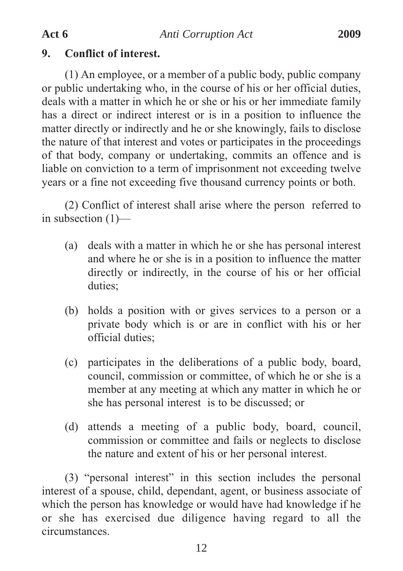### **9. Conflict of interest.**

(1) An employee, or a member of a public body, public company or public undertaking who, in the course of his or her official duties, deals with a matter in which he or she or his or her immediate family has a direct or indirect interest or is in a position to influence the matter directly or indirectly and he or she knowingly, fails to disclose the nature of that interest and votes or participates in the proceedings of that body, company or undertaking, commits an offence and is liable on conviction to a term of imprisonment not exceeding twelve years or a fine not exceeding five thousand currency points or both.

(2) Conflict of interest shall arise where the person referred to in subsection (1)—

- (a) deals with a matter in which he or she has personal interest and where he or she is in a position to influence the matter directly or indirectly, in the course of his or her official duties;
- (b) holds a position with or gives services to a person or a private body which is or are in conflict with his or her official duties;
- (c) participates in the deliberations of a public body, board, council, commission or committee, of which he or she is a member at any meeting at which any matter in which he or she has personal interest is to be discussed; or
- (d) attends a meeting of a public body, board, council, commission or committee and fails or neglects to disclose the nature and extent of his or her personal interest.

(3) "personal interest" in this section includes the personal interest of a spouse, child, dependant, agent, or business associate of which the person has knowledge or would have had knowledge if he or she has exercised due diligence having regard to all the circumstances.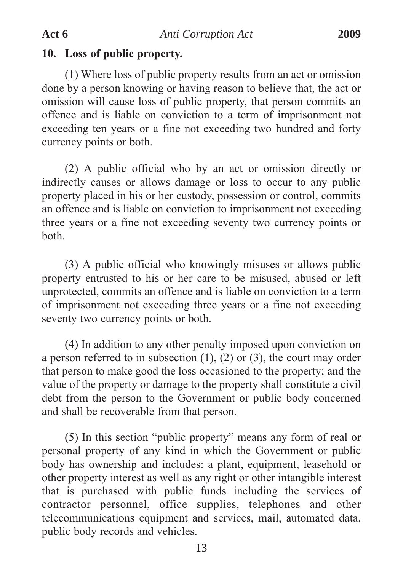#### **10. Loss of public property.**

(1) Where loss of public property results from an act or omission done by a person knowing or having reason to believe that, the act or omission will cause loss of public property, that person commits an offence and is liable on conviction to a term of imprisonment not exceeding ten years or a fine not exceeding two hundred and forty currency points or both.

(2) A public official who by an act or omission directly or indirectly causes or allows damage or loss to occur to any public property placed in his or her custody, possession or control, commits an offence and is liable on conviction to imprisonment not exceeding three years or a fine not exceeding seventy two currency points or both.

(3) A public official who knowingly misuses or allows public property entrusted to his or her care to be misused, abused or left unprotected, commits an offence and is liable on conviction to a term of imprisonment not exceeding three years or a fine not exceeding seventy two currency points or both.

(4) In addition to any other penalty imposed upon conviction on a person referred to in subsection (1), (2) or (3), the court may order that person to make good the loss occasioned to the property; and the value of the property or damage to the property shall constitute a civil debt from the person to the Government or public body concerned and shall be recoverable from that person.

(5) In this section "public property" means any form of real or personal property of any kind in which the Government or public body has ownership and includes: a plant, equipment, leasehold or other property interest as well as any right or other intangible interest that is purchased with public funds including the services of contractor personnel, office supplies, telephones and other telecommunications equipment and services, mail, automated data, public body records and vehicles.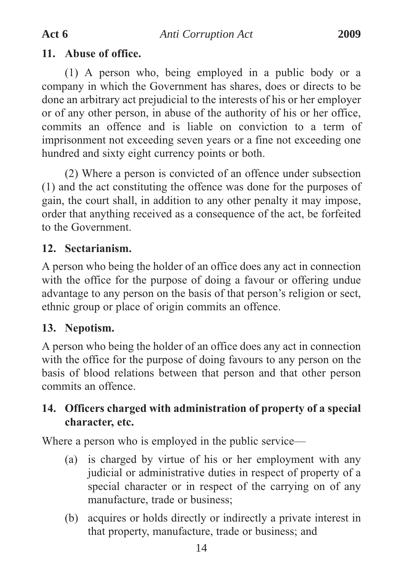### **11. Abuse of office.**

(1) A person who, being employed in a public body or a company in which the Government has shares, does or directs to be done an arbitrary act prejudicial to the interests of his or her employer or of any other person, in abuse of the authority of his or her office, commits an offence and is liable on conviction to a term of imprisonment not exceeding seven years or a fine not exceeding one hundred and sixty eight currency points or both.

(2) Where a person is convicted of an offence under subsection (1) and the act constituting the offence was done for the purposes of gain, the court shall, in addition to any other penalty it may impose, order that anything received as a consequence of the act, be forfeited to the Government.

# **12. Sectarianism.**

A person who being the holder of an office does any act in connection with the office for the purpose of doing a favour or offering undue advantage to any person on the basis of that person's religion or sect, ethnic group or place of origin commits an offence.

# **13. Nepotism.**

A person who being the holder of an office does any act in connection with the office for the purpose of doing favours to any person on the basis of blood relations between that person and that other person commits an offence.

# **14. Officers charged with administration of property of a special character, etc.**

Where a person who is employed in the public service—

- (a) is charged by virtue of his or her employment with any judicial or administrative duties in respect of property of a special character or in respect of the carrying on of any manufacture, trade or business;
- (b) acquires or holds directly or indirectly a private interest in that property, manufacture, trade or business; and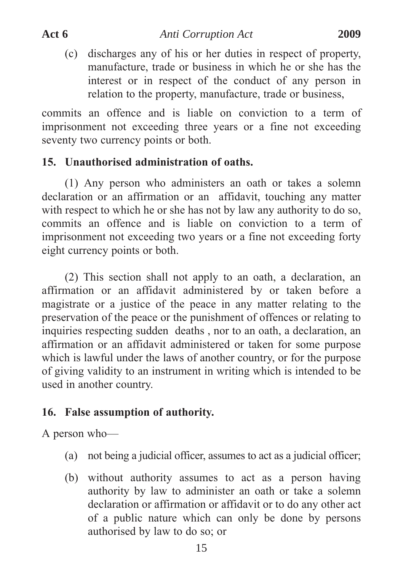(c) discharges any of his or her duties in respect of property, manufacture, trade or business in which he or she has the interest or in respect of the conduct of any person in relation to the property, manufacture, trade or business,

commits an offence and is liable on conviction to a term of imprisonment not exceeding three years or a fine not exceeding seventy two currency points or both.

# **15. Unauthorised administration of oaths.**

(1) Any person who administers an oath or takes a solemn declaration or an affirmation or an affidavit, touching any matter with respect to which he or she has not by law any authority to do so, commits an offence and is liable on conviction to a term of imprisonment not exceeding two years or a fine not exceeding forty eight currency points or both.

(2) This section shall not apply to an oath, a declaration, an affirmation or an affidavit administered by or taken before a magistrate or a justice of the peace in any matter relating to the preservation of the peace or the punishment of offences or relating to inquiries respecting sudden deaths , nor to an oath, a declaration, an affirmation or an affidavit administered or taken for some purpose which is lawful under the laws of another country, or for the purpose of giving validity to an instrument in writing which is intended to be used in another country.

# **16. False assumption of authority.**

A person who—

- (a) not being a judicial officer, assumes to act as a judicial officer;
- (b) without authority assumes to act as a person having authority by law to administer an oath or take a solemn declaration or affirmation or affidavit or to do any other act of a public nature which can only be done by persons authorised by law to do so; or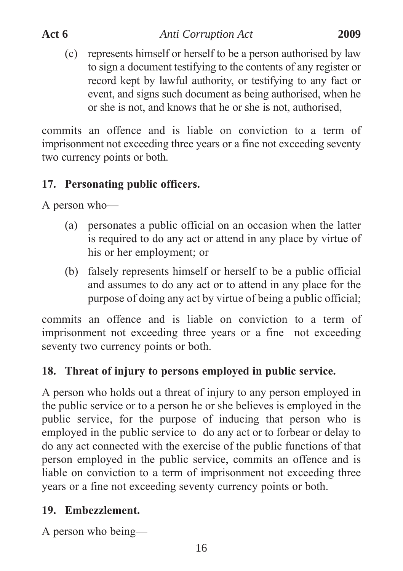(c) represents himself or herself to be a person authorised by law to sign a document testifying to the contents of any register or record kept by lawful authority, or testifying to any fact or event, and signs such document as being authorised, when he or she is not, and knows that he or she is not, authorised,

commits an offence and is liable on conviction to a term of imprisonment not exceeding three years or a fine not exceeding seventy two currency points or both.

# **17. Personating public officers.**

A person who—

- (a) personates a public official on an occasion when the latter is required to do any act or attend in any place by virtue of his or her employment; or
- (b) falsely represents himself or herself to be a public official and assumes to do any act or to attend in any place for the purpose of doing any act by virtue of being a public official;

commits an offence and is liable on conviction to a term of imprisonment not exceeding three years or a fine not exceeding seventy two currency points or both.

# **18. Threat of injury to persons employed in public service.**

A person who holds out a threat of injury to any person employed in the public service or to a person he or she believes is employed in the public service, for the purpose of inducing that person who is employed in the public service to do any act or to forbear or delay to do any act connected with the exercise of the public functions of that person employed in the public service, commits an offence and is liable on conviction to a term of imprisonment not exceeding three years or a fine not exceeding seventy currency points or both.

# **19. Embezzlement.**

A person who being—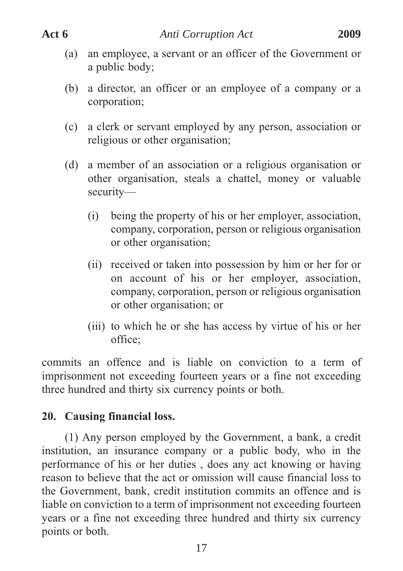- (a) an employee, a servant or an officer of the Government or a public body;
- (b) a director, an officer or an employee of a company or a corporation;
- (c) a clerk or servant employed by any person, association or religious or other organisation;
- (d) a member of an association or a religious organisation or other organisation, steals a chattel, money or valuable security—
	- (i) being the property of his or her employer, association, company, corporation, person or religious organisation or other organisation;
	- (ii) received or taken into possession by him or her for or on account of his or her employer, association, company, corporation, person or religious organisation or other organisation; or
	- (iii) to which he or she has access by virtue of his or her office;

commits an offence and is liable on conviction to a term of imprisonment not exceeding fourteen years or a fine not exceeding three hundred and thirty six currency points or both.

# **20. Causing financial loss.**

(1) Any person employed by the Government, a bank, a credit institution, an insurance company or a public body, who in the performance of his or her duties , does any act knowing or having reason to believe that the act or omission will cause financial loss to the Government, bank, credit institution commits an offence and is liable on conviction to a term of imprisonment not exceeding fourteen years or a fine not exceeding three hundred and thirty six currency points or both.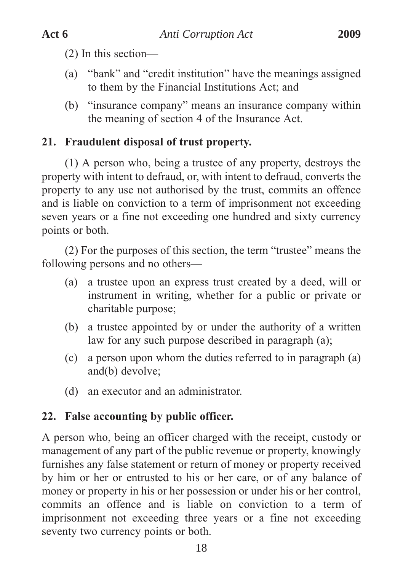(2) In this section—

- (a) "bank" and "credit institution" have the meanings assigned to them by the Financial Institutions Act; and
- (b) "insurance company" means an insurance company within the meaning of section 4 of the Insurance Act.

# **21. Fraudulent disposal of trust property.**

(1) A person who, being a trustee of any property, destroys the property with intent to defraud, or, with intent to defraud, converts the property to any use not authorised by the trust, commits an offence and is liable on conviction to a term of imprisonment not exceeding seven years or a fine not exceeding one hundred and sixty currency points or both.

(2) For the purposes of this section, the term "trustee" means the following persons and no others—

- (a) a trustee upon an express trust created by a deed, will or instrument in writing, whether for a public or private or charitable purpose;
- (b) a trustee appointed by or under the authority of a written law for any such purpose described in paragraph (a);
- (c) a person upon whom the duties referred to in paragraph (a) and(b) devolve;
- (d) an executor and an administrator.

# **22. False accounting by public officer.**

A person who, being an officer charged with the receipt, custody or management of any part of the public revenue or property, knowingly furnishes any false statement or return of money or property received by him or her or entrusted to his or her care, or of any balance of money or property in his or her possession or under his or her control, commits an offence and is liable on conviction to a term of imprisonment not exceeding three years or a fine not exceeding seventy two currency points or both.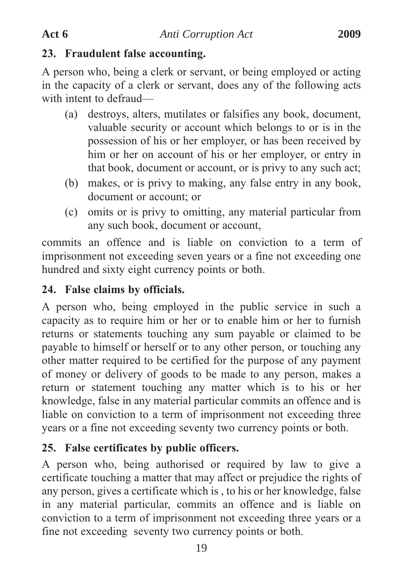#### **23. Fraudulent false accounting.**

A person who, being a clerk or servant, or being employed or acting in the capacity of a clerk or servant, does any of the following acts with intent to defraud—

- (a) destroys, alters, mutilates or falsifies any book, document, valuable security or account which belongs to or is in the possession of his or her employer, or has been received by him or her on account of his or her employer, or entry in that book, document or account, or is privy to any such act;
- (b) makes, or is privy to making, any false entry in any book, document or account; or
- (c) omits or is privy to omitting, any material particular from any such book, document or account,

commits an offence and is liable on conviction to a term of imprisonment not exceeding seven years or a fine not exceeding one hundred and sixty eight currency points or both.

## **24. False claims by officials.**

A person who, being employed in the public service in such a capacity as to require him or her or to enable him or her to furnish returns or statements touching any sum payable or claimed to be payable to himself or herself or to any other person, or touching any other matter required to be certified for the purpose of any payment of money or delivery of goods to be made to any person, makes a return or statement touching any matter which is to his or her knowledge, false in any material particular commits an offence and is liable on conviction to a term of imprisonment not exceeding three years or a fine not exceeding seventy two currency points or both.

# **25. False certificates by public officers.**

A person who, being authorised or required by law to give a certificate touching a matter that may affect or prejudice the rights of any person, gives a certificate which is , to his or her knowledge, false in any material particular, commits an offence and is liable on conviction to a term of imprisonment not exceeding three years or a fine not exceeding seventy two currency points or both.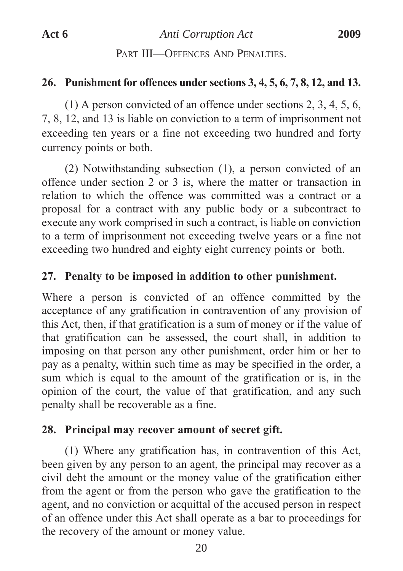#### PART III—OFFENCES AND PENALTIES

#### **26. Punishment for offences under sections 3, 4, 5, 6, 7, 8, 12, and 13.**

(1) A person convicted of an offence under sections 2, 3, 4, 5, 6, 7, 8, 12, and 13 is liable on conviction to a term of imprisonment not exceeding ten years or a fine not exceeding two hundred and forty currency points or both.

(2) Notwithstanding subsection (1), a person convicted of an offence under section 2 or 3 is, where the matter or transaction in relation to which the offence was committed was a contract or a proposal for a contract with any public body or a subcontract to execute any work comprised in such a contract, is liable on conviction to a term of imprisonment not exceeding twelve years or a fine not exceeding two hundred and eighty eight currency points or both.

#### **27. Penalty to be imposed in addition to other punishment.**

Where a person is convicted of an offence committed by the acceptance of any gratification in contravention of any provision of this Act, then, if that gratification is a sum of money or if the value of that gratification can be assessed, the court shall, in addition to imposing on that person any other punishment, order him or her to pay as a penalty, within such time as may be specified in the order, a sum which is equal to the amount of the gratification or is, in the opinion of the court, the value of that gratification, and any such penalty shall be recoverable as a fine.

#### **28. Principal may recover amount of secret gift.**

(1) Where any gratification has, in contravention of this Act, been given by any person to an agent, the principal may recover as a civil debt the amount or the money value of the gratification either from the agent or from the person who gave the gratification to the agent, and no conviction or acquittal of the accused person in respect of an offence under this Act shall operate as a bar to proceedings for the recovery of the amount or money value.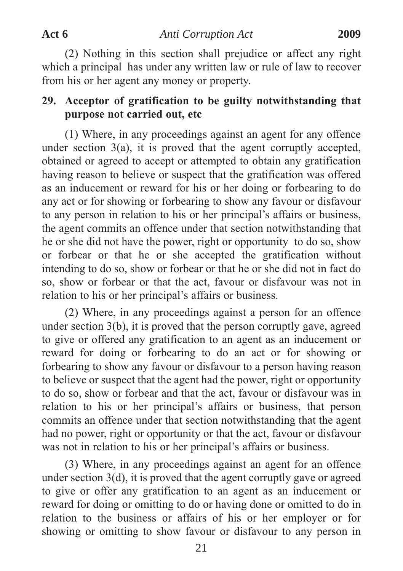(2) Nothing in this section shall prejudice or affect any right which a principal has under any written law or rule of law to recover from his or her agent any money or property.

# **29. Acceptor of gratification to be guilty notwithstanding that purpose not carried out, etc**

(1) Where, in any proceedings against an agent for any offence under section  $3(a)$ , it is proved that the agent corruptly accepted, obtained or agreed to accept or attempted to obtain any gratification having reason to believe or suspect that the gratification was offered as an inducement or reward for his or her doing or forbearing to do any act or for showing or forbearing to show any favour or disfavour to any person in relation to his or her principal's affairs or business, the agent commits an offence under that section notwithstanding that he or she did not have the power, right or opportunity to do so, show or forbear or that he or she accepted the gratification without intending to do so, show or forbear or that he or she did not in fact do so, show or forbear or that the act, favour or disfavour was not in relation to his or her principal's affairs or business.

(2) Where, in any proceedings against a person for an offence under section 3(b), it is proved that the person corruptly gave, agreed to give or offered any gratification to an agent as an inducement or reward for doing or forbearing to do an act or for showing or forbearing to show any favour or disfavour to a person having reason to believe or suspect that the agent had the power, right or opportunity to do so, show or forbear and that the act, favour or disfavour was in relation to his or her principal's affairs or business, that person commits an offence under that section notwithstanding that the agent had no power, right or opportunity or that the act, favour or disfavour was not in relation to his or her principal's affairs or business.

(3) Where, in any proceedings against an agent for an offence under section 3(d), it is proved that the agent corruptly gave or agreed to give or offer any gratification to an agent as an inducement or reward for doing or omitting to do or having done or omitted to do in relation to the business or affairs of his or her employer or for showing or omitting to show favour or disfavour to any person in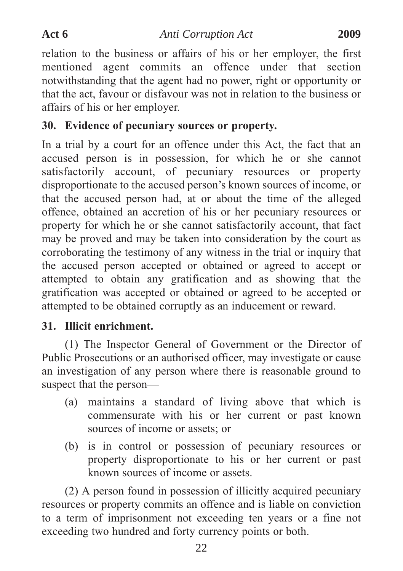relation to the business or affairs of his or her employer, the first mentioned agent commits an offence under that section notwithstanding that the agent had no power, right or opportunity or that the act, favour or disfavour was not in relation to the business or affairs of his or her employer.

# **30. Evidence of pecuniary sources or property.**

In a trial by a court for an offence under this Act, the fact that an accused person is in possession, for which he or she cannot satisfactorily account, of pecuniary resources or property disproportionate to the accused person's known sources of income, or that the accused person had, at or about the time of the alleged offence, obtained an accretion of his or her pecuniary resources or property for which he or she cannot satisfactorily account, that fact may be proved and may be taken into consideration by the court as corroborating the testimony of any witness in the trial or inquiry that the accused person accepted or obtained or agreed to accept or attempted to obtain any gratification and as showing that the gratification was accepted or obtained or agreed to be accepted or attempted to be obtained corruptly as an inducement or reward.

# **31. Illicit enrichment.**

(1) The Inspector General of Government or the Director of Public Prosecutions or an authorised officer, may investigate or cause an investigation of any person where there is reasonable ground to suspect that the person—

- (a) maintains a standard of living above that which is commensurate with his or her current or past known sources of income or assets; or
- (b) is in control or possession of pecuniary resources or property disproportionate to his or her current or past known sources of income or assets.

(2) A person found in possession of illicitly acquired pecuniary resources or property commits an offence and is liable on conviction to a term of imprisonment not exceeding ten years or a fine not exceeding two hundred and forty currency points or both.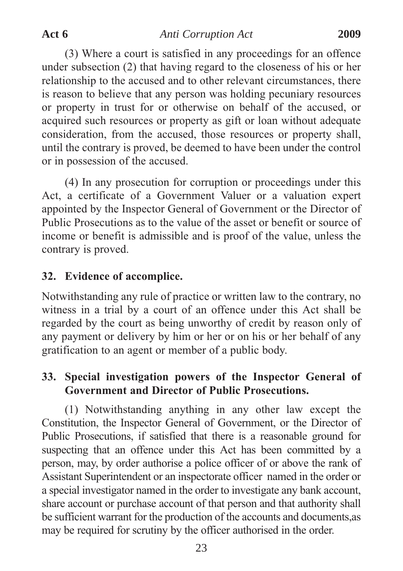(3) Where a court is satisfied in any proceedings for an offence under subsection (2) that having regard to the closeness of his or her relationship to the accused and to other relevant circumstances, there is reason to believe that any person was holding pecuniary resources or property in trust for or otherwise on behalf of the accused, or acquired such resources or property as gift or loan without adequate consideration, from the accused, those resources or property shall, until the contrary is proved, be deemed to have been under the control or in possession of the accused.

(4) In any prosecution for corruption or proceedings under this Act, a certificate of a Government Valuer or a valuation expert appointed by the Inspector General of Government or the Director of Public Prosecutions as to the value of the asset or benefit or source of income or benefit is admissible and is proof of the value, unless the contrary is proved.

#### **32. Evidence of accomplice.**

Notwithstanding any rule of practice or written law to the contrary, no witness in a trial by a court of an offence under this Act shall be regarded by the court as being unworthy of credit by reason only of any payment or delivery by him or her or on his or her behalf of any gratification to an agent or member of a public body.

# **33. Special investigation powers of the Inspector General of Government and Director of Public Prosecutions.**

(1) Notwithstanding anything in any other law except the Constitution, the Inspector General of Government, or the Director of Public Prosecutions, if satisfied that there is a reasonable ground for suspecting that an offence under this Act has been committed by a person, may, by order authorise a police officer of or above the rank of Assistant Superintendent or an inspectorate officer named in the order or a special investigator named in the order to investigate any bank account, share account or purchase account of that person and that authority shall be sufficient warrant for the production of the accounts and documents,as may be required for scrutiny by the officer authorised in the order.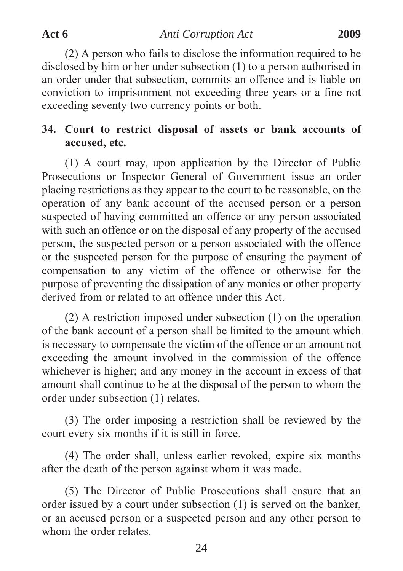(2) A person who fails to disclose the information required to be disclosed by him or her under subsection (1) to a person authorised in an order under that subsection, commits an offence and is liable on conviction to imprisonment not exceeding three years or a fine not exceeding seventy two currency points or both.

# **34. Court to restrict disposal of assets or bank accounts of accused, etc.**

(1) A court may, upon application by the Director of Public Prosecutions or Inspector General of Government issue an order placing restrictions as they appear to the court to be reasonable, on the operation of any bank account of the accused person or a person suspected of having committed an offence or any person associated with such an offence or on the disposal of any property of the accused person, the suspected person or a person associated with the offence or the suspected person for the purpose of ensuring the payment of compensation to any victim of the offence or otherwise for the purpose of preventing the dissipation of any monies or other property derived from or related to an offence under this Act.

(2) A restriction imposed under subsection (1) on the operation of the bank account of a person shall be limited to the amount which is necessary to compensate the victim of the offence or an amount not exceeding the amount involved in the commission of the offence whichever is higher; and any money in the account in excess of that amount shall continue to be at the disposal of the person to whom the order under subsection (1) relates.

(3) The order imposing a restriction shall be reviewed by the court every six months if it is still in force.

(4) The order shall, unless earlier revoked, expire six months after the death of the person against whom it was made.

(5) The Director of Public Prosecutions shall ensure that an order issued by a court under subsection (1) is served on the banker, or an accused person or a suspected person and any other person to whom the order relates.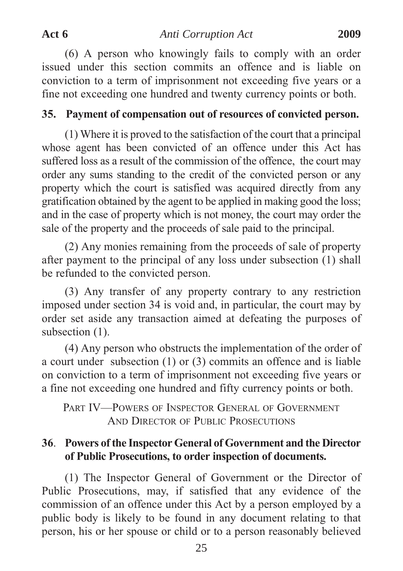(6) A person who knowingly fails to comply with an order issued under this section commits an offence and is liable on conviction to a term of imprisonment not exceeding five years or a fine not exceeding one hundred and twenty currency points or both.

#### **35. Payment of compensation out of resources of convicted person.**

(1) Where it is proved to the satisfaction of the court that a principal whose agent has been convicted of an offence under this Act has suffered loss as a result of the commission of the offence, the court may order any sums standing to the credit of the convicted person or any property which the court is satisfied was acquired directly from any gratification obtained by the agent to be applied in making good the loss; and in the case of property which is not money, the court may order the sale of the property and the proceeds of sale paid to the principal.

(2) Any monies remaining from the proceeds of sale of property after payment to the principal of any loss under subsection (1) shall be refunded to the convicted person.

(3) Any transfer of any property contrary to any restriction imposed under section 34 is void and, in particular, the court may by order set aside any transaction aimed at defeating the purposes of subsection  $(1)$ .

(4) Any person who obstructs the implementation of the order of a court under subsection (1) or (3) commits an offence and is liable on conviction to a term of imprisonment not exceeding five years or a fine not exceeding one hundred and fifty currency points or both.

PART IV—POWERS OF INSPECTOR GENERAL OF GOVERNMENT AND DIRECTOR OF PUBLIC PROSECUTIONS

# **36**. **Powers of the Inspector General of Government and the Director of Public Prosecutions, to order inspection of documents.**

(1) The Inspector General of Government or the Director of Public Prosecutions, may, if satisfied that any evidence of the commission of an offence under this Act by a person employed by a public body is likely to be found in any document relating to that person, his or her spouse or child or to a person reasonably believed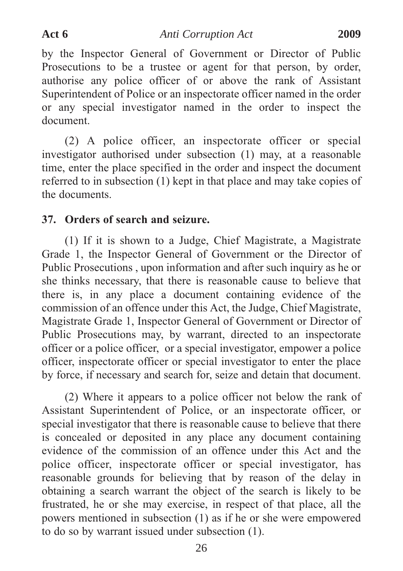by the Inspector General of Government or Director of Public Prosecutions to be a trustee or agent for that person, by order, authorise any police officer of or above the rank of Assistant Superintendent of Police or an inspectorate officer named in the order or any special investigator named in the order to inspect the document.

(2) A police officer, an inspectorate officer or special investigator authorised under subsection (1) may, at a reasonable time, enter the place specified in the order and inspect the document referred to in subsection (1) kept in that place and may take copies of the documents.

#### **37. Orders of search and seizure.**

(1) If it is shown to a Judge, Chief Magistrate, a Magistrate Grade 1, the Inspector General of Government or the Director of Public Prosecutions , upon information and after such inquiry as he or she thinks necessary, that there is reasonable cause to believe that there is, in any place a document containing evidence of the commission of an offence under this Act, the Judge, Chief Magistrate, Magistrate Grade 1, Inspector General of Government or Director of Public Prosecutions may, by warrant, directed to an inspectorate officer or a police officer, or a special investigator, empower a police officer, inspectorate officer or special investigator to enter the place by force, if necessary and search for, seize and detain that document.

(2) Where it appears to a police officer not below the rank of Assistant Superintendent of Police, or an inspectorate officer, or special investigator that there is reasonable cause to believe that there is concealed or deposited in any place any document containing evidence of the commission of an offence under this Act and the police officer, inspectorate officer or special investigator, has reasonable grounds for believing that by reason of the delay in obtaining a search warrant the object of the search is likely to be frustrated, he or she may exercise, in respect of that place, all the powers mentioned in subsection (1) as if he or she were empowered to do so by warrant issued under subsection (1).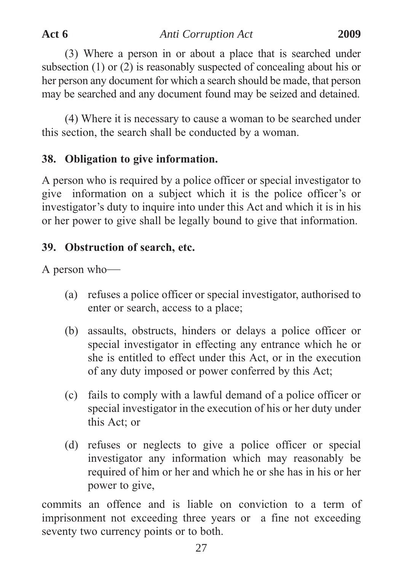(3) Where a person in or about a place that is searched under subsection (1) or (2) is reasonably suspected of concealing about his or her person any document for which a search should be made, that person may be searched and any document found may be seized and detained.

(4) Where it is necessary to cause a woman to be searched under this section, the search shall be conducted by a woman.

# **38. Obligation to give information.**

A person who is required by a police officer or special investigator to give information on a subject which it is the police officer's or investigator's duty to inquire into under this Act and which it is in his or her power to give shall be legally bound to give that information.

# **39. Obstruction of search, etc.**

A person who—

- (a) refuses a police officer or special investigator, authorised to enter or search, access to a place;
- (b) assaults, obstructs, hinders or delays a police officer or special investigator in effecting any entrance which he or she is entitled to effect under this Act, or in the execution of any duty imposed or power conferred by this Act;
- (c) fails to comply with a lawful demand of a police officer or special investigator in the execution of his or her duty under this Act; or
- (d) refuses or neglects to give a police officer or special investigator any information which may reasonably be required of him or her and which he or she has in his or her power to give,

commits an offence and is liable on conviction to a term of imprisonment not exceeding three years or a fine not exceeding seventy two currency points or to both.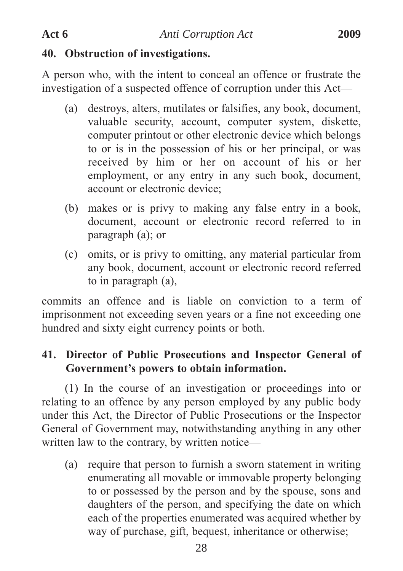#### **40. Obstruction of investigations.**

A person who, with the intent to conceal an offence or frustrate the investigation of a suspected offence of corruption under this Act—

- (a) destroys, alters, mutilates or falsifies, any book, document, valuable security, account, computer system, diskette, computer printout or other electronic device which belongs to or is in the possession of his or her principal, or was received by him or her on account of his or her employment, or any entry in any such book, document, account or electronic device;
- (b) makes or is privy to making any false entry in a book, document, account or electronic record referred to in paragraph (a); or
- (c) omits, or is privy to omitting, any material particular from any book, document, account or electronic record referred to in paragraph (a),

commits an offence and is liable on conviction to a term of imprisonment not exceeding seven years or a fine not exceeding one hundred and sixty eight currency points or both.

# **41. Director of Public Prosecutions and Inspector General of Government's powers to obtain information.**

(1) In the course of an investigation or proceedings into or relating to an offence by any person employed by any public body under this Act, the Director of Public Prosecutions or the Inspector General of Government may, notwithstanding anything in any other written law to the contrary, by written notice—

(a) require that person to furnish a sworn statement in writing enumerating all movable or immovable property belonging to or possessed by the person and by the spouse, sons and daughters of the person, and specifying the date on which each of the properties enumerated was acquired whether by way of purchase, gift, bequest, inheritance or otherwise;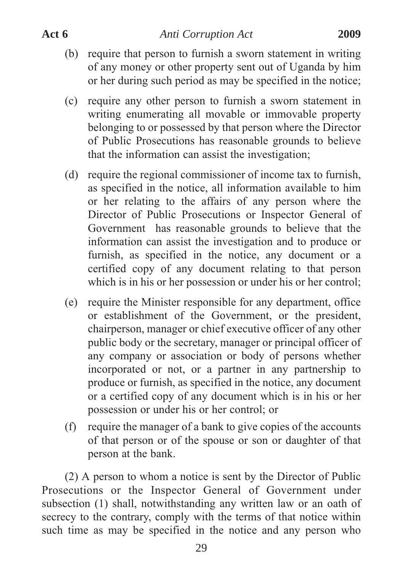- (b) require that person to furnish a sworn statement in writing of any money or other property sent out of Uganda by him or her during such period as may be specified in the notice;
- (c) require any other person to furnish a sworn statement in writing enumerating all movable or immovable property belonging to or possessed by that person where the Director of Public Prosecutions has reasonable grounds to believe that the information can assist the investigation;
- (d) require the regional commissioner of income tax to furnish, as specified in the notice, all information available to him or her relating to the affairs of any person where the Director of Public Prosecutions or Inspector General of Government has reasonable grounds to believe that the information can assist the investigation and to produce or furnish, as specified in the notice, any document or a certified copy of any document relating to that person which is in his or her possession or under his or her control;
- (e) require the Minister responsible for any department, office or establishment of the Government, or the president, chairperson, manager or chief executive officer of any other public body or the secretary, manager or principal officer of any company or association or body of persons whether incorporated or not, or a partner in any partnership to produce or furnish, as specified in the notice, any document or a certified copy of any document which is in his or her possession or under his or her control; or
- (f) require the manager of a bank to give copies of the accounts of that person or of the spouse or son or daughter of that person at the bank.

(2) A person to whom a notice is sent by the Director of Public Prosecutions or the Inspector General of Government under subsection (1) shall, notwithstanding any written law or an oath of secrecy to the contrary, comply with the terms of that notice within such time as may be specified in the notice and any person who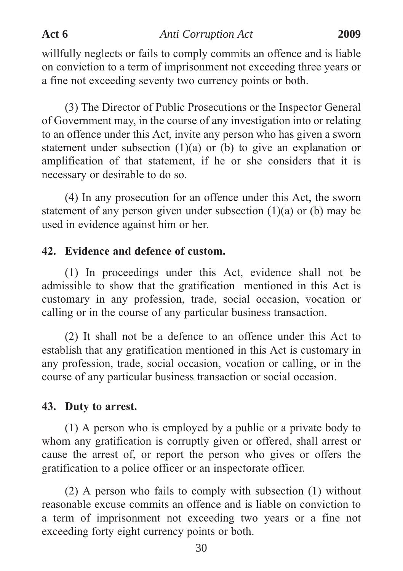willfully neglects or fails to comply commits an offence and is liable on conviction to a term of imprisonment not exceeding three years or a fine not exceeding seventy two currency points or both.

(3) The Director of Public Prosecutions or the Inspector General of Government may, in the course of any investigation into or relating to an offence under this Act, invite any person who has given a sworn statement under subsection (1)(a) or (b) to give an explanation or amplification of that statement, if he or she considers that it is necessary or desirable to do so.

(4) In any prosecution for an offence under this Act, the sworn statement of any person given under subsection  $(1)(a)$  or  $(b)$  may be used in evidence against him or her.

#### **42. Evidence and defence of custom.**

(1) In proceedings under this Act, evidence shall not be admissible to show that the gratification mentioned in this Act is customary in any profession, trade, social occasion, vocation or calling or in the course of any particular business transaction.

(2) It shall not be a defence to an offence under this Act to establish that any gratification mentioned in this Act is customary in any profession, trade, social occasion, vocation or calling, or in the course of any particular business transaction or social occasion.

#### **43. Duty to arrest.**

(1) A person who is employed by a public or a private body to whom any gratification is corruptly given or offered, shall arrest or cause the arrest of, or report the person who gives or offers the gratification to a police officer or an inspectorate officer.

(2) A person who fails to comply with subsection (1) without reasonable excuse commits an offence and is liable on conviction to a term of imprisonment not exceeding two years or a fine not exceeding forty eight currency points or both.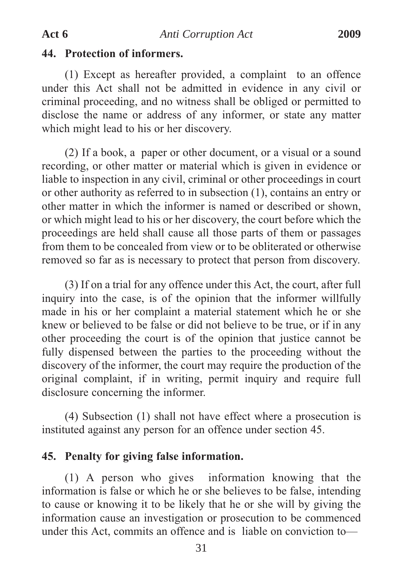#### **44. Protection of informers.**

(1) Except as hereafter provided, a complaint to an offence under this Act shall not be admitted in evidence in any civil or criminal proceeding, and no witness shall be obliged or permitted to disclose the name or address of any informer, or state any matter which might lead to his or her discovery.

(2) If a book, a paper or other document, or a visual or a sound recording, or other matter or material which is given in evidence or liable to inspection in any civil, criminal or other proceedings in court or other authority as referred to in subsection (1), contains an entry or other matter in which the informer is named or described or shown, or which might lead to his or her discovery, the court before which the proceedings are held shall cause all those parts of them or passages from them to be concealed from view or to be obliterated or otherwise removed so far as is necessary to protect that person from discovery.

(3) If on a trial for any offence under this Act, the court, after full inquiry into the case, is of the opinion that the informer willfully made in his or her complaint a material statement which he or she knew or believed to be false or did not believe to be true, or if in any other proceeding the court is of the opinion that justice cannot be fully dispensed between the parties to the proceeding without the discovery of the informer, the court may require the production of the original complaint, if in writing, permit inquiry and require full disclosure concerning the informer.

(4) Subsection (1) shall not have effect where a prosecution is instituted against any person for an offence under section 45.

#### **45. Penalty for giving false information.**

(1) A person who gives information knowing that the information is false or which he or she believes to be false, intending to cause or knowing it to be likely that he or she will by giving the information cause an investigation or prosecution to be commenced under this Act, commits an offence and is liable on conviction to—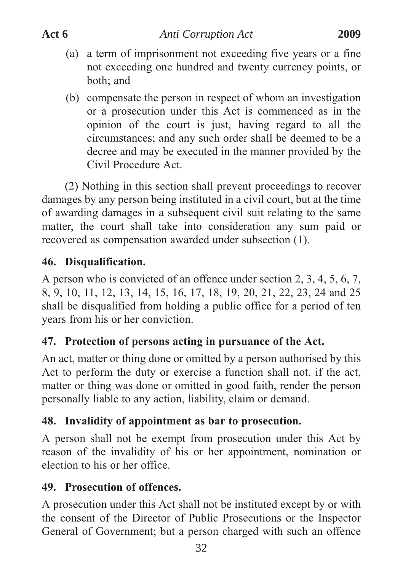- (a) a term of imprisonment not exceeding five years or a fine not exceeding one hundred and twenty currency points, or both; and
- (b) compensate the person in respect of whom an investigation or a prosecution under this Act is commenced as in the opinion of the court is just, having regard to all the circumstances; and any such order shall be deemed to be a decree and may be executed in the manner provided by the Civil Procedure Act.

(2) Nothing in this section shall prevent proceedings to recover damages by any person being instituted in a civil court, but at the time of awarding damages in a subsequent civil suit relating to the same matter, the court shall take into consideration any sum paid or recovered as compensation awarded under subsection (1).

# **46. Disqualification.**

A person who is convicted of an offence under section 2, 3, 4, 5, 6, 7, 8, 9, 10, 11, 12, 13, 14, 15, 16, 17, 18, 19, 20, 21, 22, 23, 24 and 25 shall be disqualified from holding a public office for a period of ten years from his or her conviction.

# **47. Protection of persons acting in pursuance of the Act.**

An act, matter or thing done or omitted by a person authorised by this Act to perform the duty or exercise a function shall not, if the act, matter or thing was done or omitted in good faith, render the person personally liable to any action, liability, claim or demand.

# **48. Invalidity of appointment as bar to prosecution.**

A person shall not be exempt from prosecution under this Act by reason of the invalidity of his or her appointment, nomination or election to his or her office.

# **49. Prosecution of offences.**

A prosecution under this Act shall not be instituted except by or with the consent of the Director of Public Prosecutions or the Inspector General of Government; but a person charged with such an offence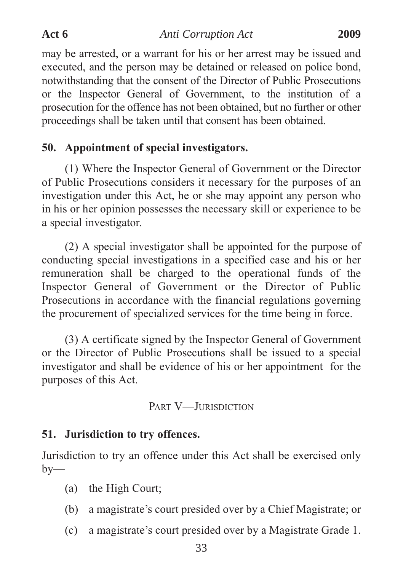may be arrested, or a warrant for his or her arrest may be issued and executed, and the person may be detained or released on police bond, notwithstanding that the consent of the Director of Public Prosecutions or the Inspector General of Government, to the institution of a prosecution for the offence has not been obtained, but no further or other proceedings shall be taken until that consent has been obtained.

### **50. Appointment of special investigators.**

(1) Where the Inspector General of Government or the Director of Public Prosecutions considers it necessary for the purposes of an investigation under this Act, he or she may appoint any person who in his or her opinion possesses the necessary skill or experience to be a special investigator.

(2) A special investigator shall be appointed for the purpose of conducting special investigations in a specified case and his or her remuneration shall be charged to the operational funds of the Inspector General of Government or the Director of Public Prosecutions in accordance with the financial regulations governing the procurement of specialized services for the time being in force.

(3) A certificate signed by the Inspector General of Government or the Director of Public Prosecutions shall be issued to a special investigator and shall be evidence of his or her appointment for the purposes of this Act.

PART V-JURISDICTION

### **51. Jurisdiction to try offences.**

Jurisdiction to try an offence under this Act shall be exercised only  $by-$ 

- (a) the High Court;
- (b) a magistrate's court presided over by a Chief Magistrate; or
- (c) a magistrate's court presided over by a Magistrate Grade 1.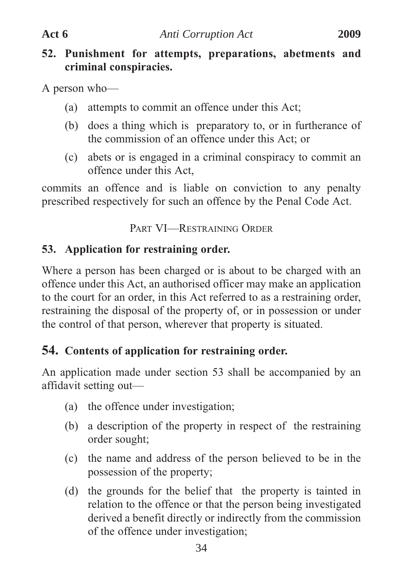### **52. Punishment for attempts, preparations, abetments and criminal conspiracies.**

A person who—

- (a) attempts to commit an offence under this Act;
- (b) does a thing which is preparatory to, or in furtherance of the commission of an offence under this Act; or
- (c) abets or is engaged in a criminal conspiracy to commit an offence under this Act,

commits an offence and is liable on conviction to any penalty prescribed respectively for such an offence by the Penal Code Act.

PART VI—RESTRAINING ORDER

# **53. Application for restraining order.**

Where a person has been charged or is about to be charged with an offence under this Act, an authorised officer may make an application to the court for an order, in this Act referred to as a restraining order, restraining the disposal of the property of, or in possession or under the control of that person, wherever that property is situated.

# **54. Contents of application for restraining order.**

An application made under section 53 shall be accompanied by an affidavit setting out—

- (a) the offence under investigation;
- (b) a description of the property in respect of the restraining order sought;
- (c) the name and address of the person believed to be in the possession of the property;
- (d) the grounds for the belief that the property is tainted in relation to the offence or that the person being investigated derived a benefit directly or indirectly from the commission of the offence under investigation;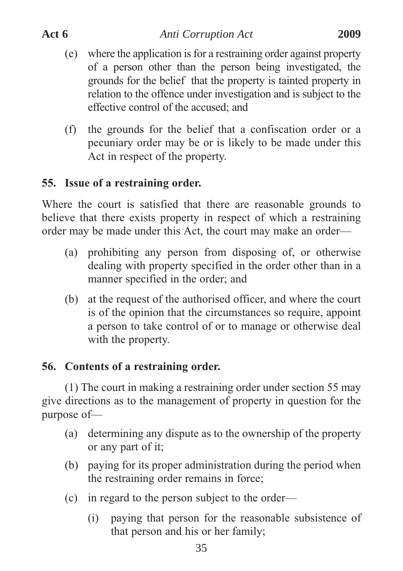- (e) where the application is for a restraining order against property of a person other than the person being investigated, the grounds for the belief that the property is tainted property in relation to the offence under investigation and is subject to the effective control of the accused; and
- (f) the grounds for the belief that a confiscation order or a pecuniary order may be or is likely to be made under this Act in respect of the property.

# **55. Issue of a restraining order.**

Where the court is satisfied that there are reasonable grounds to believe that there exists property in respect of which a restraining order may be made under this Act, the court may make an order—

- (a) prohibiting any person from disposing of, or otherwise dealing with property specified in the order other than in a manner specified in the order; and
- (b) at the request of the authorised officer, and where the court is of the opinion that the circumstances so require, appoint a person to take control of or to manage or otherwise deal with the property.

# **56. Contents of a restraining order.**

(1) The court in making a restraining order under section 55 may give directions as to the management of property in question for the purpose of—

- (a) determining any dispute as to the ownership of the property or any part of it;
- (b) paying for its proper administration during the period when the restraining order remains in force;
- (c) in regard to the person subject to the order—
	- (i) paying that person for the reasonable subsistence of that person and his or her family;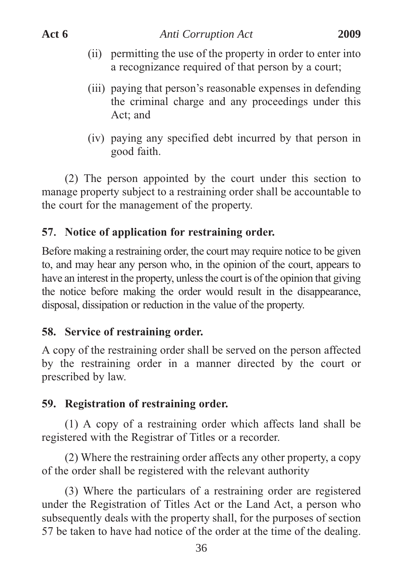- (ii) permitting the use of the property in order to enter into a recognizance required of that person by a court;
- (iii) paying that person's reasonable expenses in defending the criminal charge and any proceedings under this Act; and
- (iv) paying any specified debt incurred by that person in good faith.

(2) The person appointed by the court under this section to manage property subject to a restraining order shall be accountable to the court for the management of the property.

# **57**. **Notice of application for restraining order.**

Before making a restraining order, the court may require notice to be given to, and may hear any person who, in the opinion of the court, appears to have an interest in the property, unless the court is of the opinion that giving the notice before making the order would result in the disappearance, disposal, dissipation or reduction in the value of the property.

# **58. Service of restraining order.**

A copy of the restraining order shall be served on the person affected by the restraining order in a manner directed by the court or prescribed by law.

# **59. Registration of restraining order.**

(1) A copy of a restraining order which affects land shall be registered with the Registrar of Titles or a recorder.

(2) Where the restraining order affects any other property, a copy of the order shall be registered with the relevant authority

(3) Where the particulars of a restraining order are registered under the Registration of Titles Act or the Land Act, a person who subsequently deals with the property shall, for the purposes of section 57 be taken to have had notice of the order at the time of the dealing.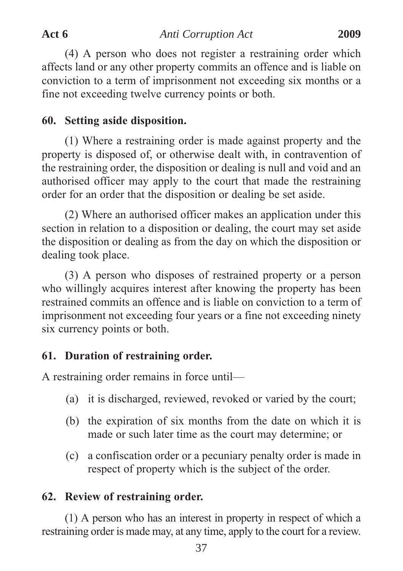(4) A person who does not register a restraining order which affects land or any other property commits an offence and is liable on conviction to a term of imprisonment not exceeding six months or a fine not exceeding twelve currency points or both.

## **60. Setting aside disposition.**

(1) Where a restraining order is made against property and the property is disposed of, or otherwise dealt with, in contravention of the restraining order, the disposition or dealing is null and void and an authorised officer may apply to the court that made the restraining order for an order that the disposition or dealing be set aside.

(2) Where an authorised officer makes an application under this section in relation to a disposition or dealing, the court may set aside the disposition or dealing as from the day on which the disposition or dealing took place.

(3) A person who disposes of restrained property or a person who willingly acquires interest after knowing the property has been restrained commits an offence and is liable on conviction to a term of imprisonment not exceeding four years or a fine not exceeding ninety six currency points or both.

# **61. Duration of restraining order.**

A restraining order remains in force until—

- (a) it is discharged, reviewed, revoked or varied by the court;
- (b) the expiration of six months from the date on which it is made or such later time as the court may determine; or
- (c) a confiscation order or a pecuniary penalty order is made in respect of property which is the subject of the order.

# **62. Review of restraining order.**

(1) A person who has an interest in property in respect of which a restraining order is made may, at any time, apply to the court for a review.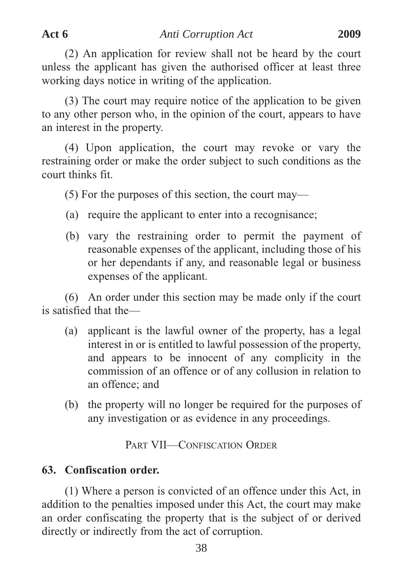(2) An application for review shall not be heard by the court unless the applicant has given the authorised officer at least three working days notice in writing of the application.

(3) The court may require notice of the application to be given to any other person who, in the opinion of the court, appears to have an interest in the property.

(4) Upon application, the court may revoke or vary the restraining order or make the order subject to such conditions as the court thinks fit.

(5) For the purposes of this section, the court may—

- (a) require the applicant to enter into a recognisance;
- (b) vary the restraining order to permit the payment of reasonable expenses of the applicant, including those of his or her dependants if any, and reasonable legal or business expenses of the applicant.

(6) An order under this section may be made only if the court is satisfied that the—

- (a) applicant is the lawful owner of the property, has a legal interest in or is entitled to lawful possession of the property, and appears to be innocent of any complicity in the commission of an offence or of any collusion in relation to an offence; and
- (b) the property will no longer be required for the purposes of any investigation or as evidence in any proceedings.

PART VII—CONFISCATION ORDER

### **63. Confiscation order.**

(1) Where a person is convicted of an offence under this Act, in addition to the penalties imposed under this Act, the court may make an order confiscating the property that is the subject of or derived directly or indirectly from the act of corruption.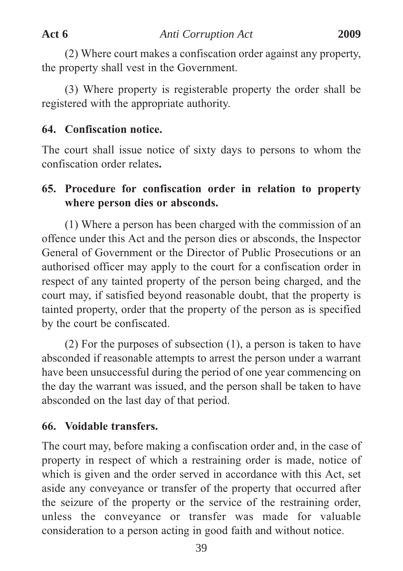(2) Where court makes a confiscation order against any property, the property shall vest in the Government.

(3) Where property is registerable property the order shall be registered with the appropriate authority.

# **64. Confiscation notice.**

The court shall issue notice of sixty days to persons to whom the confiscation order relates**.**

# **65. Procedure for confiscation order in relation to property where person dies or absconds.**

(1) Where a person has been charged with the commission of an offence under this Act and the person dies or absconds, the Inspector General of Government or the Director of Public Prosecutions or an authorised officer may apply to the court for a confiscation order in respect of any tainted property of the person being charged, and the court may, if satisfied beyond reasonable doubt, that the property is tainted property, order that the property of the person as is specified by the court be confiscated.

(2) For the purposes of subsection (1), a person is taken to have absconded if reasonable attempts to arrest the person under a warrant have been unsuccessful during the period of one year commencing on the day the warrant was issued, and the person shall be taken to have absconded on the last day of that period.

# **66. Voidable transfers.**

The court may, before making a confiscation order and, in the case of property in respect of which a restraining order is made, notice of which is given and the order served in accordance with this Act, set aside any conveyance or transfer of the property that occurred after the seizure of the property or the service of the restraining order, unless the conveyance or transfer was made for valuable consideration to a person acting in good faith and without notice.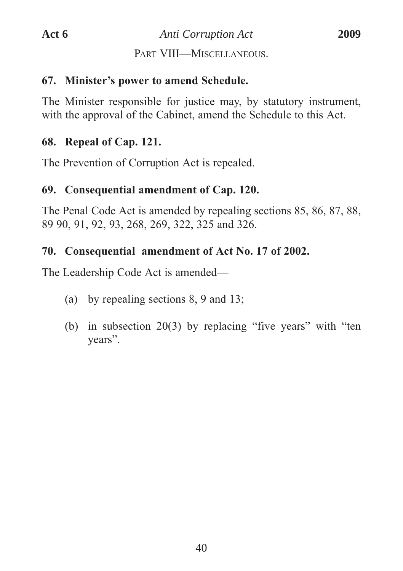PART VIII—MISCELLANEOUS.

### **67. Minister's power to amend Schedule.**

The Minister responsible for justice may, by statutory instrument, with the approval of the Cabinet, amend the Schedule to this Act.

## **68. Repeal of Cap. 121.**

The Prevention of Corruption Act is repealed.

# **69. Consequential amendment of Cap. 120.**

The Penal Code Act is amended by repealing sections 85, 86, 87, 88, 89 90, 91, 92, 93, 268, 269, 322, 325 and 326.

# **70. Consequential amendment of Act No. 17 of 2002.**

The Leadership Code Act is amended—

- (a) by repealing sections 8, 9 and 13;
- (b) in subsection 20(3) by replacing "five years" with "ten years".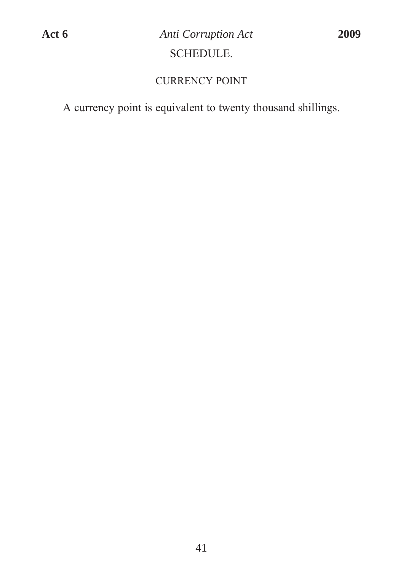## CURRENCY POINT

A currency point is equivalent to twenty thousand shillings.